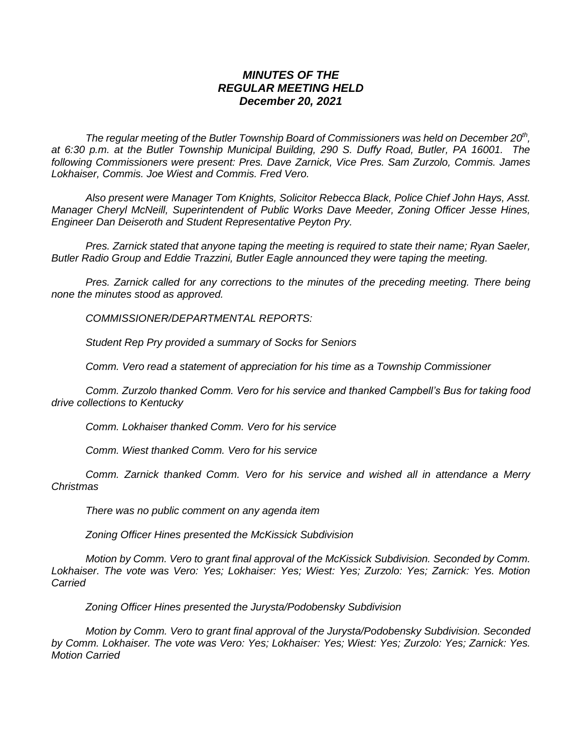## *MINUTES OF THE REGULAR MEETING HELD December 20, 2021*

*The regular meeting of the Butler Township Board of Commissioners was held on December 20th , at 6:30 p.m. at the Butler Township Municipal Building, 290 S. Duffy Road, Butler, PA 16001. The following Commissioners were present: Pres. Dave Zarnick, Vice Pres. Sam Zurzolo, Commis. James Lokhaiser, Commis. Joe Wiest and Commis. Fred Vero.*

*Also present were Manager Tom Knights, Solicitor Rebecca Black, Police Chief John Hays, Asst. Manager Cheryl McNeill, Superintendent of Public Works Dave Meeder, Zoning Officer Jesse Hines, Engineer Dan Deiseroth and Student Representative Peyton Pry.*

*Pres. Zarnick stated that anyone taping the meeting is required to state their name; Ryan Saeler, Butler Radio Group and Eddie Trazzini, Butler Eagle announced they were taping the meeting.*

*Pres. Zarnick called for any corrections to the minutes of the preceding meeting. There being none the minutes stood as approved.*

*COMMISSIONER/DEPARTMENTAL REPORTS:*

*Student Rep Pry provided a summary of Socks for Seniors*

*Comm. Vero read a statement of appreciation for his time as a Township Commissioner*

*Comm. Zurzolo thanked Comm. Vero for his service and thanked Campbell's Bus for taking food drive collections to Kentucky*

*Comm. Lokhaiser thanked Comm. Vero for his service*

*Comm. Wiest thanked Comm. Vero for his service*

*Comm. Zarnick thanked Comm. Vero for his service and wished all in attendance a Merry Christmas*

*There was no public comment on any agenda item*

*Zoning Officer Hines presented the McKissick Subdivision*

*Motion by Comm. Vero to grant final approval of the McKissick Subdivision. Seconded by Comm. Lokhaiser. The vote was Vero: Yes; Lokhaiser: Yes; Wiest: Yes; Zurzolo: Yes; Zarnick: Yes. Motion Carried*

*Zoning Officer Hines presented the Jurysta/Podobensky Subdivision*

*Motion by Comm. Vero to grant final approval of the Jurysta/Podobensky Subdivision. Seconded by Comm. Lokhaiser. The vote was Vero: Yes; Lokhaiser: Yes; Wiest: Yes; Zurzolo: Yes; Zarnick: Yes. Motion Carried*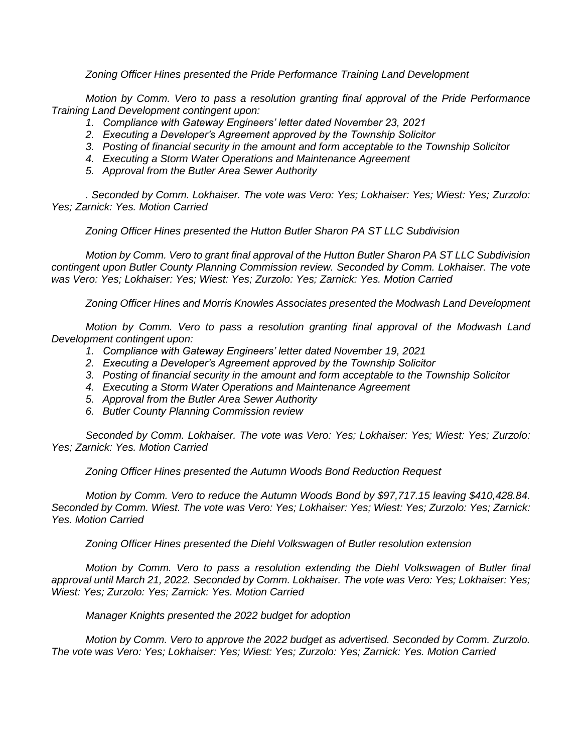*Zoning Officer Hines presented the Pride Performance Training Land Development*

*Motion by Comm. Vero to pass a resolution granting final approval of the Pride Performance Training Land Development contingent upon:*

- *1. Compliance with Gateway Engineers' letter dated November 23, 2021*
- *2. Executing a Developer's Agreement approved by the Township Solicitor*
- *3. Posting of financial security in the amount and form acceptable to the Township Solicitor*
- *4. Executing a Storm Water Operations and Maintenance Agreement*
- *5. Approval from the Butler Area Sewer Authority*

*. Seconded by Comm. Lokhaiser. The vote was Vero: Yes; Lokhaiser: Yes; Wiest: Yes; Zurzolo: Yes; Zarnick: Yes. Motion Carried*

*Zoning Officer Hines presented the Hutton Butler Sharon PA ST LLC Subdivision*

*Motion by Comm. Vero to grant final approval of the Hutton Butler Sharon PA ST LLC Subdivision contingent upon Butler County Planning Commission review. Seconded by Comm. Lokhaiser. The vote was Vero: Yes; Lokhaiser: Yes; Wiest: Yes; Zurzolo: Yes; Zarnick: Yes. Motion Carried*

*Zoning Officer Hines and Morris Knowles Associates presented the Modwash Land Development*

*Motion by Comm. Vero to pass a resolution granting final approval of the Modwash Land Development contingent upon:*

- *1. Compliance with Gateway Engineers' letter dated November 19, 2021*
- *2. Executing a Developer's Agreement approved by the Township Solicitor*
- *3. Posting of financial security in the amount and form acceptable to the Township Solicitor*
- *4. Executing a Storm Water Operations and Maintenance Agreement*
- *5. Approval from the Butler Area Sewer Authority*
- *6. Butler County Planning Commission review*

*Seconded by Comm. Lokhaiser. The vote was Vero: Yes; Lokhaiser: Yes; Wiest: Yes; Zurzolo: Yes; Zarnick: Yes. Motion Carried*

*Zoning Officer Hines presented the Autumn Woods Bond Reduction Request*

*Motion by Comm. Vero to reduce the Autumn Woods Bond by \$97,717.15 leaving \$410,428.84. Seconded by Comm. Wiest. The vote was Vero: Yes; Lokhaiser: Yes; Wiest: Yes; Zurzolo: Yes; Zarnick: Yes. Motion Carried*

*Zoning Officer Hines presented the Diehl Volkswagen of Butler resolution extension*

*Motion by Comm. Vero to pass a resolution extending the Diehl Volkswagen of Butler final approval until March 21, 2022. Seconded by Comm. Lokhaiser. The vote was Vero: Yes; Lokhaiser: Yes; Wiest: Yes; Zurzolo: Yes; Zarnick: Yes. Motion Carried*

*Manager Knights presented the 2022 budget for adoption*

*Motion by Comm. Vero to approve the 2022 budget as advertised. Seconded by Comm. Zurzolo. The vote was Vero: Yes; Lokhaiser: Yes; Wiest: Yes; Zurzolo: Yes; Zarnick: Yes. Motion Carried*